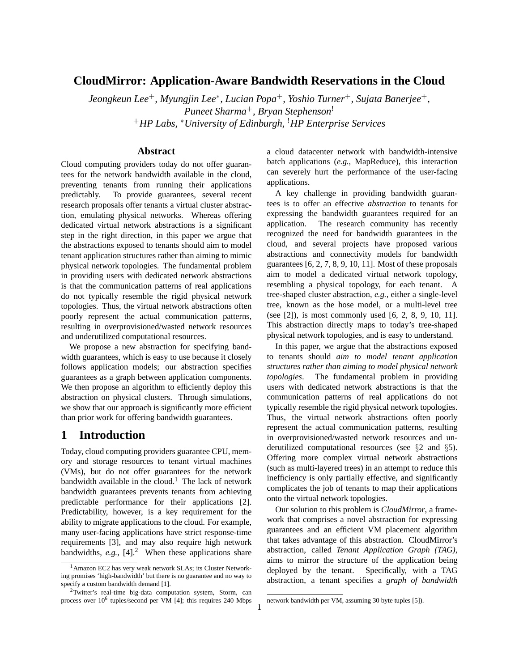# **CloudMirror: Application-Aware Bandwidth Reservations in the Cloud**

*Jeongkeun Lee*+*, Myungjin Lee*<sup>∗</sup> *, Lucian Popa*+*, Yoshio Turner*+*, Sujata Banerjee*+*, Puneet Sharma*+*, Bryan Stephenson*! <sup>+</sup>*HP Labs,* <sup>∗</sup>*University of Edinburgh,* !*HP Enterprise Services*

#### **Abstract**

Cloud computing providers today do not offer guarantees for the network bandwidth available in the cloud, preventing tenants from running their applications predictably. To provide guarantees, several recent research proposals offer tenants a virtual cluster abstraction, emulating physical networks. Whereas offering dedicated virtual network abstractions is a significant step in the right direction, in this paper we argue that the abstractions exposed to tenants should aim to model tenant application structures rather than aiming to mimic physical network topologies. The fundamental problem in providing users with dedicated network abstractions is that the communication patterns of real applications do not typically resemble the rigid physical network topologies. Thus, the virtual network abstractions often poorly represent the actual communication patterns, resulting in overprovisioned/wasted network resources and underutilized computational resources.

We propose a new abstraction for specifying bandwidth guarantees, which is easy to use because it closely follows application models; our abstraction specifies guarantees as a graph between application components. We then propose an algorithm to efficiently deploy this abstraction on physical clusters. Through simulations, we show that our approach is significantly more efficient than prior work for offering bandwidth guarantees.

## **1 Introduction**

Today, cloud computing providers guarantee CPU, memory and storage resources to tenant virtual machines (VMs), but do not offer guarantees for the network bandwidth available in the cloud.<sup>1</sup> The lack of network bandwidth guarantees prevents tenants from achieving predictable performance for their applications [2]. Predictability, however, is a key requirement for the ability to migrate applications to the cloud. For example, many user-facing applications have strict response-time requirements [3], and may also require high network bandwidths,  $e.g., [4].<sup>2</sup>$  When these applications share a cloud datacenter network with bandwidth-intensive batch applications (*e.g.,* MapReduce), this interaction can severely hurt the performance of the user-facing applications.

A key challenge in providing bandwidth guarantees is to offer an effective *abstraction* to tenants for expressing the bandwidth guarantees required for an application. The research community has recently recognized the need for bandwidth guarantees in the cloud, and several projects have proposed various abstractions and connectivity models for bandwidth guarantees [6, 2, 7, 8, 9, 10, 11]. Most of these proposals aim to model a dedicated virtual network topology, resembling a physical topology, for each tenant. A tree-shaped cluster abstraction, *e.g.,* either a single-level tree, known as the hose model, or a multi-level tree (see [2]), is most commonly used [6, 2, 8, 9, 10, 11]. This abstraction directly maps to today's tree-shaped physical network topologies, and is easy to understand.

In this paper, we argue that the abstractions exposed to tenants should *aim to model tenant application structures rather than aiming to model physical network topologies*. The fundamental problem in providing users with dedicated network abstractions is that the communication patterns of real applications do not typically resemble the rigid physical network topologies. Thus, the virtual network abstractions often poorly represent the actual communication patterns, resulting in overprovisioned/wasted network resources and underutilized computational resources (see §2 and §5). Offering more complex virtual network abstractions (such as multi-layered trees) in an attempt to reduce this inefficiency is only partially effective, and significantly complicates the job of tenants to map their applications onto the virtual network topologies.

Our solution to this problem is *CloudMirror*, a framework that comprises a novel abstraction for expressing guarantees and an efficient VM placement algorithm that takes advantage of this abstraction. CloudMirror's abstraction, called *Tenant Application Graph (TAG)*, aims to mirror the structure of the application being deployed by the tenant. Specifically, with a TAG abstraction, a tenant specifies a *graph of bandwidth*

<sup>&</sup>lt;sup>1</sup> Amazon EC2 has very weak network SLAs; its Cluster Networking promises 'high-bandwidth' but there is no guarantee and no way to specify a custom bandwidth demand [1].

<sup>2</sup>Twitter's real-time big-data computation system, Storm, can process over 10<sup>6</sup> tuples/second per VM [4]; this requires 240 Mbps

network bandwidth per VM, assuming 30 byte tuples [5]).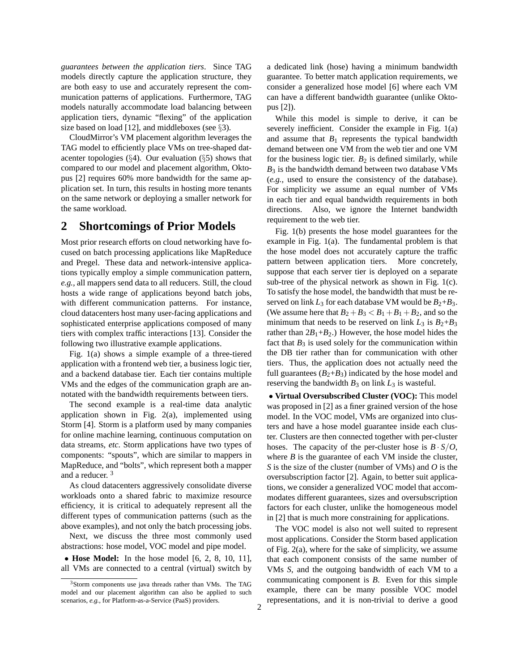*guarantees between the application tiers*. Since TAG models directly capture the application structure, they are both easy to use and accurately represent the communication patterns of applications. Furthermore, TAG models naturally accommodate load balancing between application tiers, dynamic "flexing" of the application size based on load [12], and middleboxes (see  $\S$ 3).

CloudMirror's VM placement algorithm leverages the TAG model to efficiently place VMs on tree-shaped datacenter topologies  $(\S4)$ . Our evaluation  $(\S5)$  shows that compared to our model and placement algorithm, Oktopus [2] requires 60% more bandwidth for the same application set. In turn, this results in hosting more tenants on the same network or deploying a smaller network for the same workload.

### **2 Shortcomings of Prior Models**

Most prior research efforts on cloud networking have focused on batch processing applications like MapReduce and Pregel. These data and network-intensive applications typically employ a simple communication pattern, *e.g.,* all mappers send data to all reducers. Still, the cloud hosts a wide range of applications beyond batch jobs, with different communication patterns. For instance, cloud datacenters host many user-facing applications and sophisticated enterprise applications composed of many tiers with complex traffic interactions [13]. Consider the following two illustrative example applications.

Fig. 1(a) shows a simple example of a three-tiered application with a frontend web tier, a business logic tier, and a backend database tier. Each tier contains multiple VMs and the edges of the communication graph are annotated with the bandwidth requirements between tiers.

The second example is a real-time data analytic application shown in Fig. 2(a), implemented using Storm [4]. Storm is a platform used by many companies for online machine learning, continuous computation on data streams, *etc.* Storm applications have two types of components: "spouts", which are similar to mappers in MapReduce, and "bolts", which represent both a mapper and a reducer. <sup>3</sup>

As cloud datacenters aggressively consolidate diverse workloads onto a shared fabric to maximize resource efficiency, it is critical to adequately represent all the different types of communication patterns (such as the above examples), and not only the batch processing jobs.

Next, we discuss the three most commonly used abstractions: hose model, VOC model and pipe model.

• **Hose Model:** In the hose model [6, 2, 8, 10, 11], all VMs are connected to a central (virtual) switch by a dedicated link (hose) having a minimum bandwidth guarantee. To better match application requirements, we consider a generalized hose model [6] where each VM can have a different bandwidth guarantee (unlike Oktopus [2]).

While this model is simple to derive, it can be severely inefficient. Consider the example in Fig. 1(a) and assume that  $B_1$  represents the typical bandwidth demand between one VM from the web tier and one VM for the business logic tier.  $B_2$  is defined similarly, while  $B_3$  is the bandwidth demand between two database VMs (*e.g.,* used to ensure the consistency of the database). For simplicity we assume an equal number of VMs in each tier and equal bandwidth requirements in both directions. Also, we ignore the Internet bandwidth requirement to the web tier.

Fig. 1(b) presents the hose model guarantees for the example in Fig. 1(a). The fundamental problem is that the hose model does not accurately capture the traffic pattern between application tiers. More concretely, suppose that each server tier is deployed on a separate sub-tree of the physical network as shown in Fig. 1(c). To satisfy the hose model, the bandwidth that must be reserved on link  $L_3$  for each database VM would be  $B_2 + B_3$ . (We assume here that  $B_2 + B_3 < B_1 + B_1 + B_2$ , and so the minimum that needs to be reserved on link  $L_3$  is  $B_2 + B_3$ rather than  $2B_1+B_2$ .) However, the hose model hides the fact that  $B_3$  is used solely for the communication within the DB tier rather than for communication with other tiers. Thus, the application does not actually need the full guarantees  $(B_2 + B_3)$  indicated by the hose model and reserving the bandwidth  $B_3$  on link  $L_3$  is wasteful.

• **Virtual Oversubscribed Cluster (VOC):** This model was proposed in [2] as a finer grained version of the hose model. In the VOC model, VMs are organized into clusters and have a hose model guarantee inside each cluster. Clusters are then connected together with per-cluster hoses. The capacity of the per-cluster hose is  $B \cdot S/O$ , where  $B$  is the guarantee of each VM inside the cluster, *S* is the size of the cluster (number of VMs) and *O* is the oversubscription factor [2]. Again, to better suit applications, we consider a generalized VOC model that accommodates different guarantees, sizes and oversubscription factors for each cluster, unlike the homogeneous model in [2] that is much more constraining for applications.

The VOC model is also not well suited to represent most applications. Consider the Storm based application of Fig. 2(a), where for the sake of simplicity, we assume that each component consists of the same number of VMs *S*, and the outgoing bandwidth of each VM to a communicating component is *B*. Even for this simple example, there can be many possible VOC model representations, and it is non-trivial to derive a good

<sup>&</sup>lt;sup>3</sup>Storm components use java threads rather than VMs. The TAG model and our placement algorithm can also be applied to such scenarios, *e.g.,* for Platform-as-a-Service (PaaS) providers.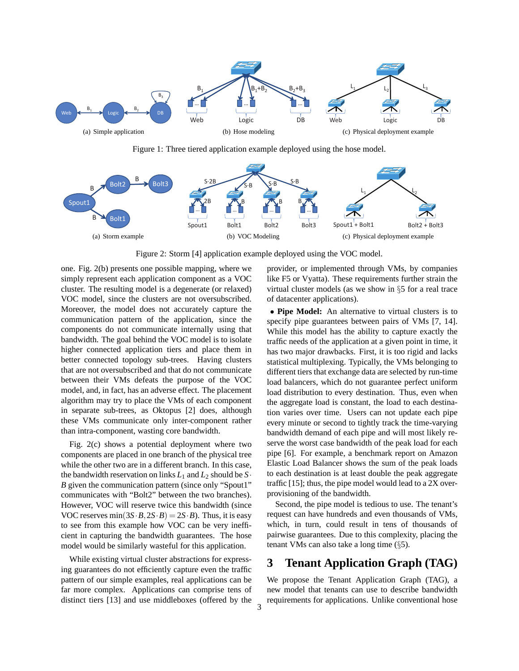

Figure 1: Three tiered application example deployed using the hose model.



Figure 2: Storm [4] application example deployed using the VOC model.

one. Fig. 2(b) presents one possible mapping, where we simply represent each application component as a VOC cluster. The resulting model is a degenerate (or relaxed) VOC model, since the clusters are not oversubscribed. Moreover, the model does not accurately capture the communication pattern of the application, since the components do not communicate internally using that bandwidth. The goal behind the VOC model is to isolate higher connected application tiers and place them in better connected topology sub-trees. Having clusters that are not oversubscribed and that do not communicate between their VMs defeats the purpose of the VOC model, and, in fact, has an adverse effect. The placement algorithm may try to place the VMs of each component in separate sub-trees, as Oktopus [2] does, although these VMs communicate only inter-component rather than intra-component, wasting core bandwidth.

Fig. 2(c) shows a potential deployment where two components are placed in one branch of the physical tree while the other two are in a different branch. In this case, the bandwidth reservation on links  $L_1$  and  $L_2$  should be  $S_1$ . *B* given the communication pattern (since only "Spout1" communicates with "Bolt2" between the two branches). However, VOC will reserve twice this bandwidth (since VOC reserves min $(3S \cdot B, 2S \cdot B) = 2S \cdot B$ . Thus, it is easy to see from this example how VOC can be very inefficient in capturing the bandwidth guarantees. The hose model would be similarly wasteful for this application.

While existing virtual cluster abstractions for expressing guarantees do not efficiently capture even the traffic pattern of our simple examples, real applications can be far more complex. Applications can comprise tens of distinct tiers [13] and use middleboxes (offered by the provider, or implemented through VMs, by companies like F5 or Vyatta). These requirements further strain the virtual cluster models (as we show in §5 for a real trace of datacenter applications).

• **Pipe Model:** An alternative to virtual clusters is to specify pipe guarantees between pairs of VMs [7, 14]. While this model has the ability to capture exactly the traffic needs of the application at a given point in time, it has two major drawbacks. First, it is too rigid and lacks statistical multiplexing. Typically, the VMs belonging to different tiers that exchange data are selected by run-time load balancers, which do not guarantee perfect uniform load distribution to every destination. Thus, even when the aggregate load is constant, the load to each destination varies over time. Users can not update each pipe every minute or second to tightly track the time-varying bandwidth demand of each pipe and will most likely reserve the worst case bandwidth of the peak load for each pipe [6]. For example, a benchmark report on Amazon Elastic Load Balancer shows the sum of the peak loads to each destination is at least double the peak aggregate traffic [15]; thus, the pipe model would lead to a 2X overprovisioning of the bandwidth.

Second, the pipe model is tedious to use. The tenant's request can have hundreds and even thousands of VMs, which, in turn, could result in tens of thousands of pairwise guarantees. Due to this complexity, placing the tenant VMs can also take a long time (§5).

# **3 Tenant Application Graph (TAG)**

We propose the Tenant Application Graph (TAG), a new model that tenants can use to describe bandwidth requirements for applications. Unlike conventional hose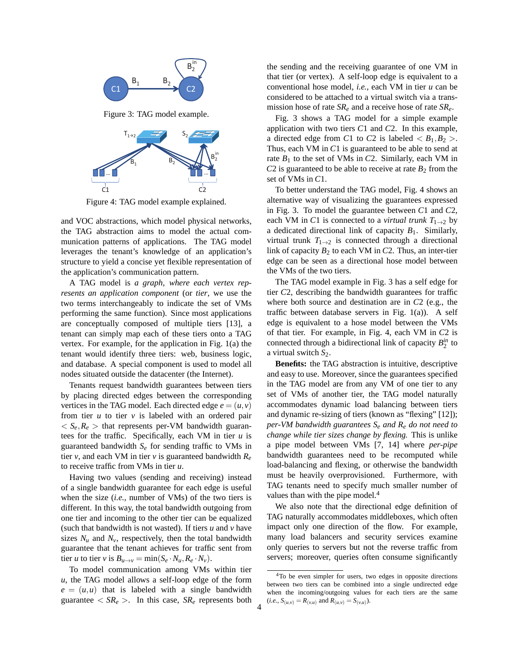

Figure 4: TAG model example explained.

and VOC abstractions, which model physical networks, the TAG abstraction aims to model the actual communication patterns of applications. The TAG model leverages the tenant's knowledge of an application's structure to yield a concise yet flexible representation of the application's communication pattern.

A TAG model is *a graph, where each vertex represents an application component* (or *tier*, we use the two terms interchangeably to indicate the set of VMs performing the same function). Since most applications are conceptually composed of multiple tiers [13], a tenant can simply map each of these tiers onto a TAG vertex. For example, for the application in Fig. 1(a) the tenant would identify three tiers: web, business logic, and database. A special component is used to model all nodes situated outside the datacenter (the Internet).

Tenants request bandwidth guarantees between tiers by placing directed edges between the corresponding vertices in the TAG model. Each directed edge  $e = (u, v)$ from tier *u* to tier *v* is labeled with an ordered pair  $\langle S_e, R_e \rangle$  that represents per-VM bandwidth guarantees for the traffic. Specifically, each VM in tier *u* is guaranteed bandwidth *S<sup>e</sup>* for sending traffic to VMs in tier *v*, and each VM in tier *v* is guaranteed bandwidth  $R_e$ to receive traffic from VMs in tier *u*.

Having two values (sending and receiving) instead of a single bandwidth guarantee for each edge is useful when the size (*i.e.,* number of VMs) of the two tiers is different. In this way, the total bandwidth outgoing from one tier and incoming to the other tier can be equalized (such that bandwidth is not wasted). If tiers *u* and *v* have sizes  $N_u$  and  $N_v$ , respectively, then the total bandwidth guarantee that the tenant achieves for traffic sent from tier *u* to tier *v* is  $B_{u\to v} = \min(S_e \cdot N_u, R_e \cdot N_v)$ .

To model communication among VMs within tier *u*, the TAG model allows a self-loop edge of the form  $e = (u, u)$  that is labeled with a single bandwidth guarantee  $\langle SR_e \rangle$ . In this case,  $SR_e$  represents both the sending and the receiving guarantee of one VM in that tier (or vertex). A self-loop edge is equivalent to a conventional hose model, *i.e.,* each VM in tier *u* can be considered to be attached to a virtual switch via a transmission hose of rate *SR<sup>e</sup>* and a receive hose of rate *SRe*.

Fig. 3 shows a TAG model for a simple example application with two tiers *C*1 and *C*2. In this example, a directed edge from *C*1 to *C*2 is labeled  $\langle B_1, B_2 \rangle$ . Thus, each VM in *C*1 is guaranteed to be able to send at rate  $B_1$  to the set of VMs in  $C_2$ . Similarly, each VM in  $C2$  is guaranteed to be able to receive at rate  $B_2$  from the set of VMs in *C*1.

To better understand the TAG model, Fig. 4 shows an alternative way of visualizing the guarantees expressed in Fig. 3. To model the guarantee between *C*1 and *C*2, each VM in *C*1 is connected to a *virtual trunk*  $T_{1\rightarrow 2}$  by a dedicated directional link of capacity *B*1. Similarly, virtual trunk  $T_{1\rightarrow 2}$  is connected through a directional link of capacity  $B_2$  to each VM in *C*2. Thus, an inter-tier edge can be seen as a directional hose model between the VMs of the two tiers.

The TAG model example in Fig. 3 has a self edge for tier *C*2, describing the bandwidth guarantees for traffic where both source and destination are in *C*2 (e.g., the traffic between database servers in Fig. 1(a)). A self edge is equivalent to a hose model between the VMs of that tier. For example, in Fig. 4, each VM in *C*2 is connected through a bidirectional link of capacity  $B_2^{\text{in}}$  to a virtual switch *S*2.

**Benefits:** the TAG abstraction is intuitive, descriptive and easy to use. Moreover, since the guarantees specified in the TAG model are from any VM of one tier to any set of VMs of another tier, the TAG model naturally accommodates dynamic load balancing between tiers and dynamic re-sizing of tiers (known as "flexing" [12]); *per-VM bandwidth guarantees S<sup>e</sup> and R<sup>e</sup> do not need to change while tier sizes change by flexing.* This is unlike a pipe model between VMs [7, 14] where *per-pipe* bandwidth guarantees need to be recomputed while load-balancing and flexing, or otherwise the bandwidth must be heavily overprovisioned. Furthermore, with TAG tenants need to specify much smaller number of values than with the pipe model.<sup>4</sup>

We also note that the directional edge definition of TAG naturally accommodates middleboxes, which often impact only one direction of the flow. For example, many load balancers and security services examine only queries to servers but not the reverse traffic from servers; moreover, queries often consume significantly

<sup>&</sup>lt;sup>4</sup>To be even simpler for users, two edges in opposite directions between two tiers can be combined into a single undirected edge when the incoming/outgoing values for each tiers are the same  $(i.e., S_{(u,v)} = R_{(v,u)} \text{ and } R_{(u,v)} = S_{(v,u)}$ .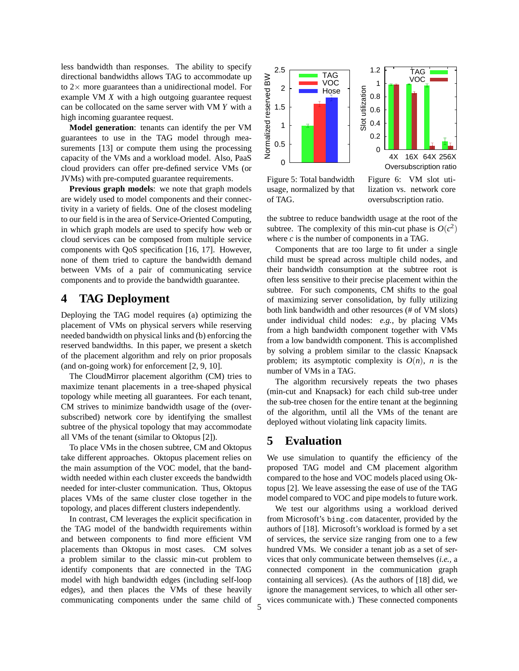less bandwidth than responses. The ability to specify directional bandwidths allows TAG to accommodate up to  $2\times$  more guarantees than a unidirectional model. For example VM *X* with a high outgoing guarantee request can be collocated on the same server with VM *Y* with a high incoming guarantee request.

**Model generation**: tenants can identify the per VM guarantees to use in the TAG model through measurements [13] or compute them using the processing capacity of the VMs and a workload model. Also, PaaS cloud providers can offer pre-defined service VMs (or JVMs) with pre-computed guarantee requirements.

**Previous graph models**: we note that graph models are widely used to model components and their connectivity in a variety of fields. One of the closest modeling to our field is in the area of Service-Oriented Computing, in which graph models are used to specify how web or cloud services can be composed from multiple service components with QoS specification [16, 17]. However, none of them tried to capture the bandwidth demand between VMs of a pair of communicating service components and to provide the bandwidth guarantee.

## **4 TAG Deployment**

Deploying the TAG model requires (a) optimizing the placement of VMs on physical servers while reserving needed bandwidth on physical links and (b) enforcing the reserved bandwidths. In this paper, we present a sketch of the placement algorithm and rely on prior proposals (and on-going work) for enforcement [2, 9, 10].

The CloudMirror placement algorithm (CM) tries to maximize tenant placements in a tree-shaped physical topology while meeting all guarantees. For each tenant, CM strives to minimize bandwidth usage of the (oversubscribed) network core by identifying the smallest subtree of the physical topology that may accommodate all VMs of the tenant (similar to Oktopus [2]).

To place VMs in the chosen subtree, CM and Oktopus take different approaches. Oktopus placement relies on the main assumption of the VOC model, that the bandwidth needed within each cluster exceeds the bandwidth needed for inter-cluster communication. Thus, Oktopus places VMs of the same cluster close together in the topology, and places different clusters independently.

In contrast, CM leverages the explicit specification in the TAG model of the bandwidth requirements within and between components to find more efficient VM placements than Oktopus in most cases. CM solves a problem similar to the classic min-cut problem to identify components that are connected in the TAG model with high bandwidth edges (including self-loop edges), and then places the VMs of these heavily communicating components under the same child of





Figure 5: Total bandwidth usage, normalized by that of TAG.

Figure 6: VM slot utilization vs. network core oversubscription ratio.

the subtree to reduce bandwidth usage at the root of the subtree. The complexity of this min-cut phase is  $O(c^2)$ where *c* is the number of components in a TAG.

Components that are too large to fit under a single child must be spread across multiple child nodes, and their bandwidth consumption at the subtree root is often less sensitive to their precise placement within the subtree. For such components, CM shifts to the goal of maximizing server consolidation, by fully utilizing both link bandwidth and other resources (# of VM slots) under individual child nodes: *e.g.,* by placing VMs from a high bandwidth component together with VMs from a low bandwidth component. This is accomplished by solving a problem similar to the classic Knapsack problem; its asymptotic complexity is  $O(n)$ , *n* is the number of VMs in a TAG.

The algorithm recursively repeats the two phases (min-cut and Knapsack) for each child sub-tree under the sub-tree chosen for the entire tenant at the beginning of the algorithm, until all the VMs of the tenant are deployed without violating link capacity limits.

### **5 Evaluation**

We use simulation to quantify the efficiency of the proposed TAG model and CM placement algorithm compared to the hose and VOC models placed using Oktopus [2]. We leave assessing the ease of use of the TAG model compared to VOC and pipe models to future work.

We test our algorithms using a workload derived from Microsoft's bing.com datacenter, provided by the authors of [18]. Microsoft's workload is formed by a set of services, the service size ranging from one to a few hundred VMs. We consider a tenant job as a set of services that only communicate between themselves (*i.e.,* a connected component in the communication graph containing all services). (As the authors of [18] did, we ignore the management services, to which all other services communicate with.) These connected components